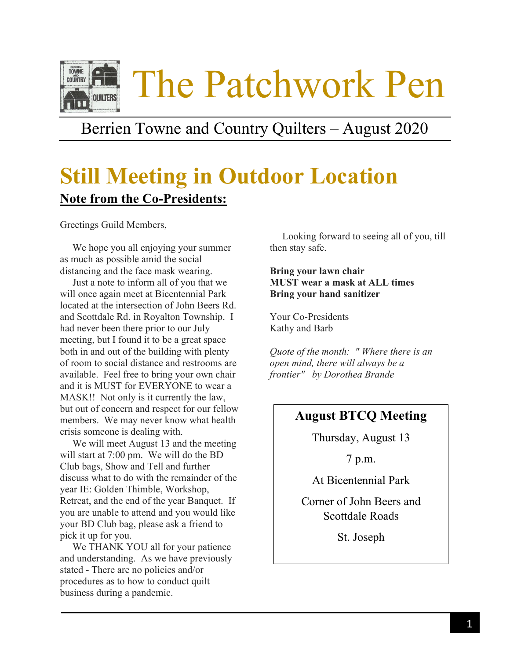

## Berrien Towne and Country Quilters – August 2020

# **Still Meeting in Outdoor Location Note from the Co-Presidents:**

Greetings Guild Members,

 We hope you all enjoying your summer as much as possible amid the social distancing and the face mask wearing.

 Just a note to inform all of you that we will once again meet at Bicentennial Park located at the intersection of John Beers Rd. and Scottdale Rd. in Royalton Township. I had never been there prior to our July meeting, but I found it to be a great space both in and out of the building with plenty of room to social distance and restrooms are available. Feel free to bring your own chair and it is MUST for EVERYONE to wear a MASK!! Not only is it currently the law, but out of concern and respect for our fellow members. We may never know what health crisis someone is dealing with.

 We will meet August 13 and the meeting will start at 7:00 pm. We will do the BD Club bags, Show and Tell and further discuss what to do with the remainder of the year IE: Golden Thimble, Workshop, Retreat, and the end of the year Banquet. If you are unable to attend and you would like your BD Club bag, please ask a friend to pick it up for you.

 We THANK YOU all for your patience and understanding. As we have previously stated - There are no policies and/or procedures as to how to conduct quilt business during a pandemic.

 Looking forward to seeing all of you, till then stay safe.

#### **Bring your lawn chair MUST wear a mask at ALL times Bring your hand sanitizer**

Your Co-Presidents Kathy and Barb

*Quote of the month: " Where there is an open mind, there will always be a frontier" by Dorothea Brande*

## **August BTCQ Meeting**

Thursday, August 13

7 p.m.

At Bicentennial Park

Corner of John Beers and Scottdale Roads

St. Joseph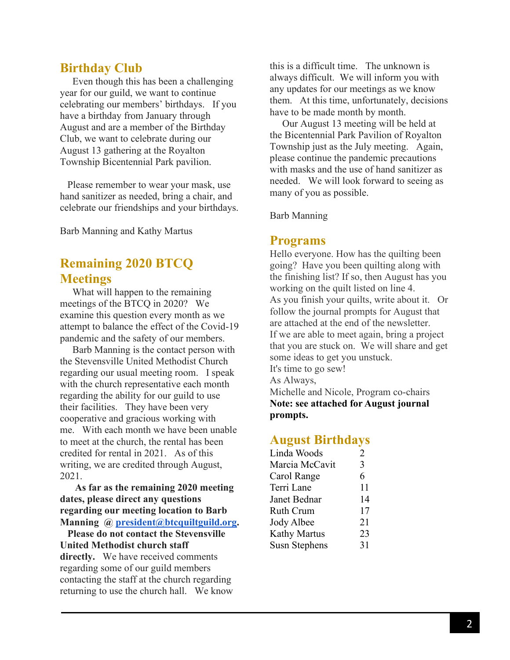## **Birthday Club**

 Even though this has been a challenging year for our guild, we want to continue celebrating our members' birthdays. If you have a birthday from January through August and are a member of the Birthday Club, we want to celebrate during our August 13 gathering at the Royalton Township Bicentennial Park pavilion.

 Please remember to wear your mask, use hand sanitizer as needed, bring a chair, and celebrate our friendships and your birthdays.

Barb Manning and Kathy Martus

## **Remaining 2020 BTCQ Meetings**

 What will happen to the remaining meetings of the BTCQ in 2020? We examine this question every month as we attempt to balance the effect of the Covid-19 pandemic and the safety of our members.

 Barb Manning is the contact person with the Stevensville United Methodist Church regarding our usual meeting room. I speak with the church representative each month regarding the ability for our guild to use their facilities. They have been very cooperative and gracious working with me. With each month we have been unable to meet at the church, the rental has been credited for rental in 2021. As of this writing, we are credited through August, 2021.

 **As far as the remaining 2020 meeting dates, please direct any questions regarding our meeting location to Barb Manning @ [president@btcquiltguild.org.](mailto:president@btcquiltguild.org)**

 **Please do not contact the Stevensville United Methodist church staff directly.** We have received comments regarding some of our guild members contacting the staff at the church regarding returning to use the church hall. We know this is a difficult time. The unknown is always difficult. We will inform you with any updates for our meetings as we know them. At this time, unfortunately, decisions have to be made month by month.

 Our August 13 meeting will be held at the Bicentennial Park Pavilion of Royalton Township just as the July meeting. Again, please continue the pandemic precautions with masks and the use of hand sanitizer as needed. We will look forward to seeing as many of you as possible.

Barb Manning

#### **Programs**

Hello everyone. How has the quilting been going? Have you been quilting along with the finishing list? If so, then August has you working on the quilt listed on line 4. As you finish your quilts, write about it. Or follow the journal prompts for August that are attached at the end of the newsletter. If we are able to meet again, bring a project that you are stuck on. We will share and get some ideas to get you unstuck. It's time to go sew! As Always,

Michelle and Nicole, Program co-chairs **Note: see attached for August journal prompts.**

### **August Birthdays**

| Linda Woods    | 2  |
|----------------|----|
| Marcia McCavit | 3  |
| Carol Range    | 6  |
| Terri Lane     | 11 |
| Janet Bednar   | 14 |
| Ruth Crum      | 17 |
| Jody Albee     | 21 |
| Kathy Martus   | 23 |
| Susn Stephens  | 31 |
|                |    |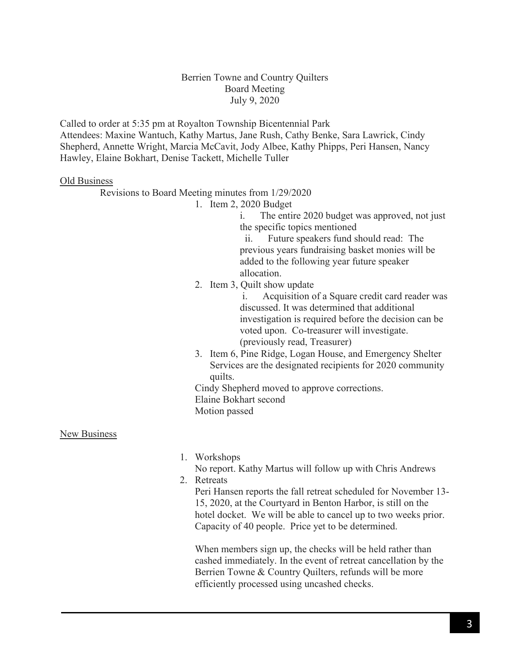#### Berrien Towne and Country Quilters Board Meeting July 9, 2020

Called to order at 5:35 pm at Royalton Township Bicentennial Park Attendees: Maxine Wantuch, Kathy Martus, Jane Rush, Cathy Benke, Sara Lawrick, Cindy Shepherd, Annette Wright, Marcia McCavit, Jody Albee, Kathy Phipps, Peri Hansen, Nancy Hawley, Elaine Bokhart, Denise Tackett, Michelle Tuller

#### Old Business

Revisions to Board Meeting minutes from 1/29/2020

1. Item 2, 2020 Budget

i. The entire 2020 budget was approved, not just the specific topics mentioned

 ii. Future speakers fund should read: The previous years fundraising basket monies will be added to the following year future speaker allocation.

2. Item 3, Quilt show update

i. Acquisition of a Square credit card reader was discussed. It was determined that additional investigation is required before the decision can be voted upon. Co-treasurer will investigate. (previously read, Treasurer)

3. Item 6, Pine Ridge, Logan House, and Emergency Shelter Services are the designated recipients for 2020 community quilts.

Cindy Shepherd moved to approve corrections. Elaine Bokhart second Motion passed

New Business

1. Workshops

No report. Kathy Martus will follow up with Chris Andrews 2. Retreats

Peri Hansen reports the fall retreat scheduled for November 13- 15, 2020, at the Courtyard in Benton Harbor, is still on the hotel docket. We will be able to cancel up to two weeks prior. Capacity of 40 people. Price yet to be determined.

When members sign up, the checks will be held rather than cashed immediately. In the event of retreat cancellation by the Berrien Towne & Country Quilters, refunds will be more efficiently processed using uncashed checks.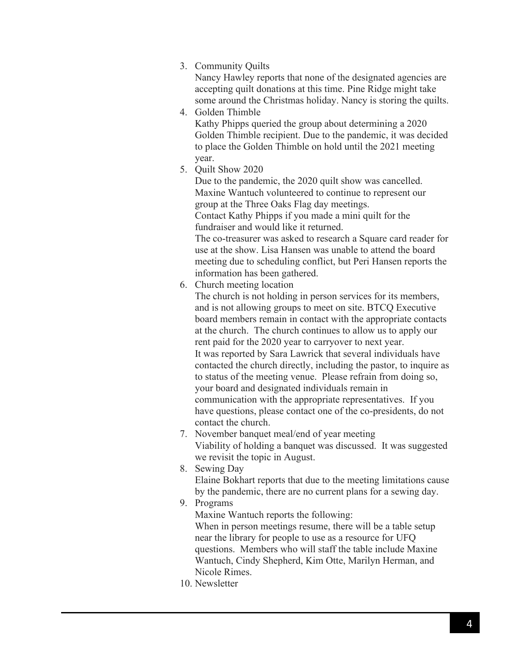#### 3. Community Quilts

Nancy Hawley reports that none of the designated agencies are accepting quilt donations at this time. Pine Ridge might take some around the Christmas holiday. Nancy is storing the quilts.

4. Golden Thimble

Kathy Phipps queried the group about determining a 2020 Golden Thimble recipient. Due to the pandemic, it was decided to place the Golden Thimble on hold until the 2021 meeting year.

5. Quilt Show 2020

Due to the pandemic, the 2020 quilt show was cancelled. Maxine Wantuch volunteered to continue to represent our group at the Three Oaks Flag day meetings. Contact Kathy Phipps if you made a mini quilt for the fundraiser and would like it returned. The co-treasurer was asked to research a Square card reader for use at the show. Lisa Hansen was unable to attend the board

meeting due to scheduling conflict, but Peri Hansen reports the information has been gathered.

6. Church meeting location

The church is not holding in person services for its members, and is not allowing groups to meet on site. BTCQ Executive board members remain in contact with the appropriate contacts at the church. The church continues to allow us to apply our rent paid for the 2020 year to carryover to next year. It was reported by Sara Lawrick that several individuals have contacted the church directly, including the pastor, to inquire as to status of the meeting venue. Please refrain from doing so, your board and designated individuals remain in communication with the appropriate representatives. If you have questions, please contact one of the co-presidents, do not contact the church.

- 7. November banquet meal/end of year meeting Viability of holding a banquet was discussed. It was suggested we revisit the topic in August.
- 8. Sewing Day Elaine Bokhart reports that due to the meeting limitations cause by the pandemic, there are no current plans for a sewing day.
- 9. Programs

Maxine Wantuch reports the following: When in person meetings resume, there will be a table setup near the library for people to use as a resource for UFQ questions. Members who will staff the table include Maxine Wantuch, Cindy Shepherd, Kim Otte, Marilyn Herman, and Nicole Rimes.

10. Newsletter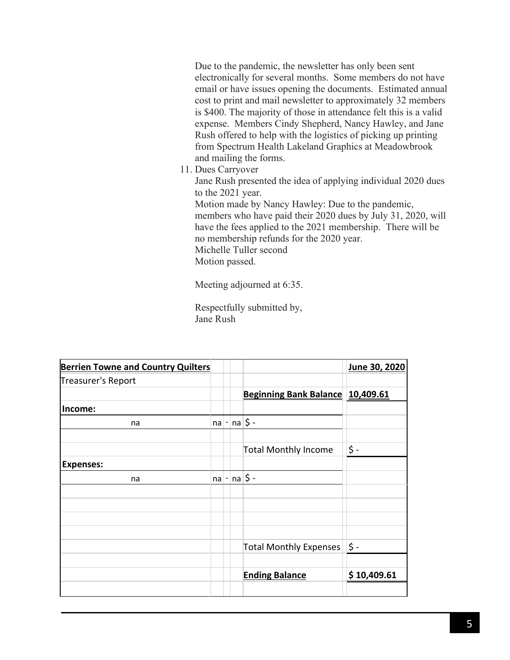Due to the pandemic, the newsletter has only been sent electronically for several months. Some members do not have email or have issues opening the documents. Estimated annual cost to print and mail newsletter to approximately 32 members is \$400. The majority of those in attendance felt this is a valid expense. Members Cindy Shepherd, Nancy Hawley, and Jane Rush offered to help with the logistics of picking up printing from Spectrum Health Lakeland Graphics at Meadowbrook and mailing the forms.

11. Dues Carryover

Jane Rush presented the idea of applying individual 2020 dues to the 2021 year.

Motion made by Nancy Hawley: Due to the pandemic, members who have paid their 2020 dues by July 31, 2020, will have the fees applied to the 2021 membership. There will be no membership refunds for the 2020 year. Michelle Tuller second Motion passed.

Meeting adjourned at 6:35.

Respectfully submitted by, Jane Rush

| <b>Berrien Towne and Country Quilters</b> |          |                |                                  | June 30, 2020 |
|-------------------------------------------|----------|----------------|----------------------------------|---------------|
| Treasurer's Report                        |          |                |                                  |               |
|                                           |          |                | Beginning Bank Balance 10,409.61 |               |
| Income:                                   |          |                |                                  |               |
| na                                        | na       | $\overline{a}$ | $ na $ \$ -                      |               |
|                                           |          |                |                                  |               |
|                                           |          |                | <b>Total Monthly Income</b>      | \$ -          |
| <b>Expenses:</b>                          |          |                |                                  |               |
| na                                        | $ na $ - |                | $ na \xi$ -                      |               |
|                                           |          |                |                                  |               |
|                                           |          |                |                                  |               |
|                                           |          |                |                                  |               |
|                                           |          |                |                                  |               |
|                                           |          |                | <b>Total Monthly Expenses</b>    | \$ -          |
|                                           |          |                |                                  |               |
|                                           |          |                | <b>Ending Balance</b>            | \$10,409.61   |
|                                           |          |                |                                  |               |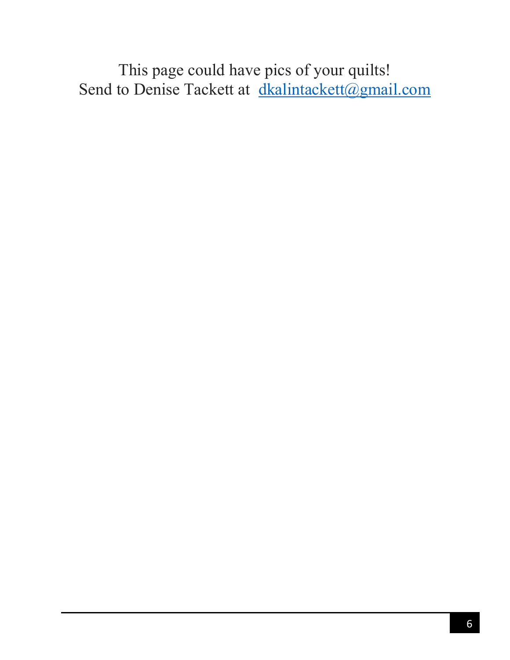This page could have pics of your quilts! Send to Denise Tackett at [dkalintackett@gmail.com](mailto:dkalintackett@gmail.com)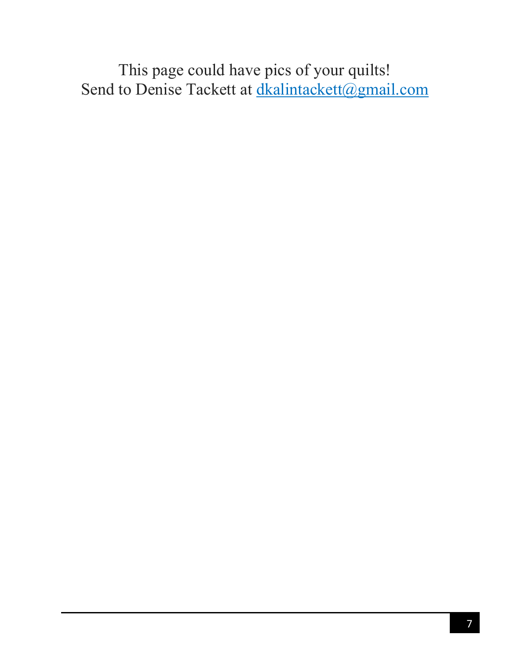This page could have pics of your quilts! Send to Denise Tackett at dkalintackett@gmail.com